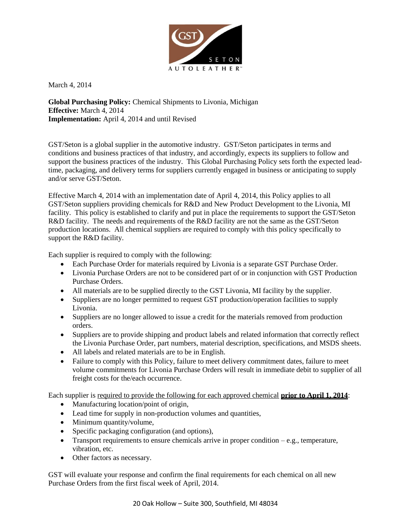

March 4, 2014

**Global Purchasing Policy:** Chemical Shipments to Livonia, Michigan **Effective:** March 4, 2014 **Implementation:** April 4, 2014 and until Revised

GST/Seton is a global supplier in the automotive industry. GST/Seton participates in terms and conditions and business practices of that industry, and accordingly, expects its suppliers to follow and support the business practices of the industry. This Global Purchasing Policy sets forth the expected leadtime, packaging, and delivery terms for suppliers currently engaged in business or anticipating to supply and/or serve GST/Seton.

Effective March 4, 2014 with an implementation date of April 4, 2014, this Policy applies to all GST/Seton suppliers providing chemicals for R&D and New Product Development to the Livonia, MI facility. This policy is established to clarify and put in place the requirements to support the GST/Seton R&D facility. The needs and requirements of the R&D facility are not the same as the GST/Seton production locations. All chemical suppliers are required to comply with this policy specifically to support the R&D facility.

Each supplier is required to comply with the following:

- Each Purchase Order for materials required by Livonia is a separate GST Purchase Order.
- Livonia Purchase Orders are not to be considered part of or in conjunction with GST Production Purchase Orders.
- All materials are to be supplied directly to the GST Livonia, MI facility by the supplier.
- Suppliers are no longer permitted to request GST production/operation facilities to supply Livonia.
- Suppliers are no longer allowed to issue a credit for the materials removed from production orders.
- Suppliers are to provide shipping and product labels and related information that correctly reflect the Livonia Purchase Order, part numbers, material description, specifications, and MSDS sheets.
- All labels and related materials are to be in English.
- Failure to comply with this Policy, failure to meet delivery commitment dates, failure to meet volume commitments for Livonia Purchase Orders will result in immediate debit to supplier of all freight costs for the/each occurrence.

Each supplier is required to provide the following for each approved chemical **prior to April 1, 2014**:

- Manufacturing location/point of origin,
- Lead time for supply in non-production volumes and quantities,
- Minimum quantity/volume,
- Specific packaging configuration (and options),
- Transport requirements to ensure chemicals arrive in proper condition e.g., temperature, vibration, etc.
- Other factors as necessary.

GST will evaluate your response and confirm the final requirements for each chemical on all new Purchase Orders from the first fiscal week of April, 2014.